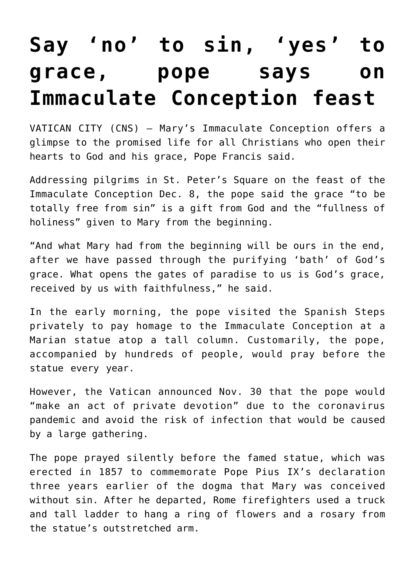## **[Say 'no' to sin, 'yes' to](https://www.osvnews.com/2020/12/08/say-no-to-sin-yes-to-grace-pope-says-on-immaculate-conception-feast/) [grace, pope says on](https://www.osvnews.com/2020/12/08/say-no-to-sin-yes-to-grace-pope-says-on-immaculate-conception-feast/) [Immaculate Conception feast](https://www.osvnews.com/2020/12/08/say-no-to-sin-yes-to-grace-pope-says-on-immaculate-conception-feast/)**

VATICAN CITY (CNS) — Mary's Immaculate Conception offers a glimpse to the promised life for all Christians who open their hearts to God and his grace, Pope Francis said.

Addressing pilgrims in St. Peter's Square on the feast of the Immaculate Conception Dec. 8, the pope said the grace "to be totally free from sin" is a gift from God and the "fullness of holiness" given to Mary from the beginning.

"And what Mary had from the beginning will be ours in the end, after we have passed through the purifying 'bath' of God's grace. What opens the gates of paradise to us is God's grace, received by us with faithfulness," he said.

In the early morning, the pope visited the Spanish Steps privately to pay homage to the Immaculate Conception at a Marian statue atop a tall column. Customarily, the pope, accompanied by hundreds of people, would pray before the statue every year.

However, the Vatican announced Nov. 30 that the pope would "make an act of private devotion" due to the coronavirus pandemic and avoid the risk of infection that would be caused by a large gathering.

The pope prayed silently before the famed statue, which was erected in 1857 to commemorate Pope Pius IX's declaration three years earlier of the dogma that Mary was conceived without sin. After he departed, Rome firefighters used a truck and tall ladder to hang a ring of flowers and a rosary from the statue's outstretched arm.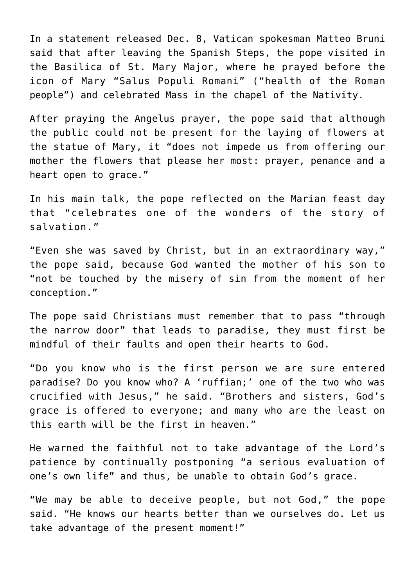In a statement released Dec. 8, Vatican spokesman Matteo Bruni said that after leaving the Spanish Steps, the pope visited in the Basilica of St. Mary Major, where he prayed before the icon of Mary "Salus Populi Romani" ("health of the Roman people") and celebrated Mass in the chapel of the Nativity.

After praying the Angelus prayer, the pope said that although the public could not be present for the laying of flowers at the statue of Mary, it "does not impede us from offering our mother the flowers that please her most: prayer, penance and a heart open to grace."

In his main talk, the pope reflected on the Marian feast day that "celebrates one of the wonders of the story of salvation."

"Even she was saved by Christ, but in an extraordinary way," the pope said, because God wanted the mother of his son to "not be touched by the misery of sin from the moment of her conception."

The pope said Christians must remember that to pass "through the narrow door" that leads to paradise, they must first be mindful of their faults and open their hearts to God.

"Do you know who is the first person we are sure entered paradise? Do you know who? A 'ruffian;' one of the two who was crucified with Jesus," he said. "Brothers and sisters, God's grace is offered to everyone; and many who are the least on this earth will be the first in heaven."

He warned the faithful not to take advantage of the Lord's patience by continually postponing "a serious evaluation of one's own life" and thus, be unable to obtain God's grace.

"We may be able to deceive people, but not God," the pope said. "He knows our hearts better than we ourselves do. Let us take advantage of the present moment!"